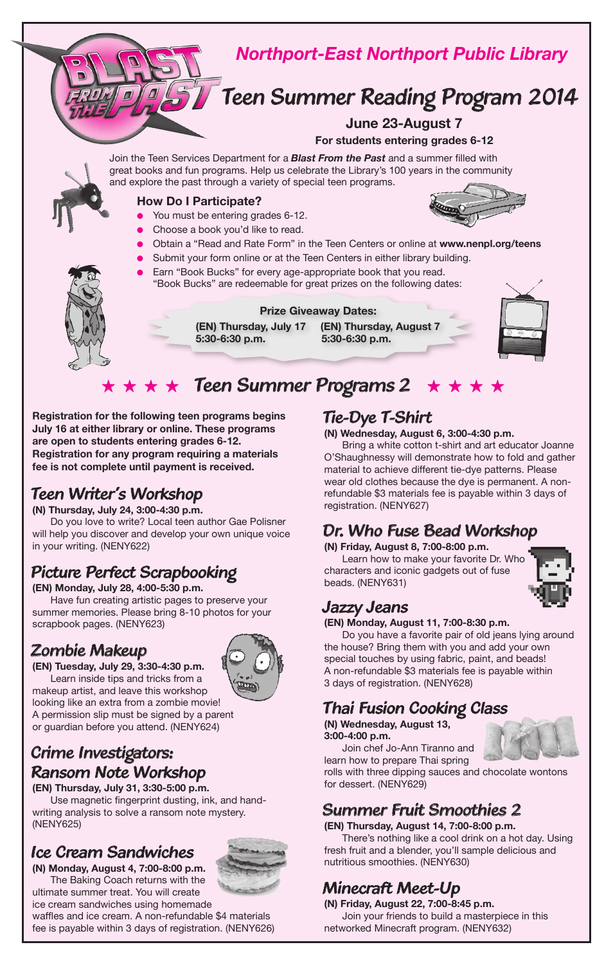

**Registration for the following teen programs begins July 16 at either library or online. These programs are open to students entering grades 6-12. Registration for any program requiring a materials fee is not complete until payment is received.**

### *Teen Writer's Workshop*

**(N) Thursday, July 24, 3:00-4:30 p.m.**

Do you love to write? Local teen author Gae Polisner will help you discover and develop your own unique voice in your writing. (NENY622)

## *Picture Perfect Scrapbooking*

**(EN) Monday, July 28, 4:00-5:30 p.m.** Have fun creating artistic pages to preserve your summer memories. Please bring 8-10 photos for your scrapbook pages. (NENY623)

### *Zombie Makeup*  **(EN) Tuesday, July 29, 3:30-4:30 p.m.**



Learn inside tips and tricks from a makeup artist, and leave this workshop looking like an extra from a zombie movie! A permission slip must be signed by a parent or guardian before you attend. (NENY624)

### *Crime Investigators: Ransom Note Workshop*

**(EN) Thursday, July 31, 3:30-5:00 p.m.** Use magnetic fingerprint dusting, ink, and handwriting analysis to solve a ransom note mystery. (NENY625)

### *Ice Cream Sandwiches*

**(N) Monday, August 4, 7:00-8:00 p.m.** The Baking Coach returns with the ultimate summer treat. You will create



ice cream sandwiches using homemade waffles and ice cream. A non-refundable \$4 materials fee is payable within 3 days of registration. (NENY626)

### *Tie-Dye T-Shirt*

**(N) Wednesday, August 6, 3:00-4:30 p.m.**

Bring a white cotton t-shirt and art educator Joanne O'Shaughnessy will demonstrate how to fold and gather material to achieve different tie-dye patterns. Please wear old clothes because the dye is permanent. A nonrefundable \$3 materials fee is payable within 3 days of registration. (NENY627)

## *Dr. Who Fuse Bead Workshop*

**(N) Friday, August 8, 7:00-8:00 p.m.** Learn how to make your favorite Dr. Who characters and iconic gadgets out of fuse beads. (NENY631)



### *Jazzy Jeans*

**(EN) Monday, August 11, 7:00-8:30 p.m.** 

Do you have a favorite pair of old jeans lying around the house? Bring them with you and add your own special touches by using fabric, paint, and beads! A non-refundable \$3 materials fee is payable within 3 days of registration. (NENY628)

### *Thai Fusion Cooking Class*

**(N) Wednesday, August 13, 3:00-4:00 p.m.**

Join chef Jo-Ann Tiranno and learn how to prepare Thai spring

rolls with three dipping sauces and chocolate wontons for dessert. (NENY629)

## *Summer Fruit Smoothies 2*

**(EN) Thursday, August 14, 7:00-8:00 p.m.**

There's nothing like a cool drink on a hot day. Using fresh fruit and a blender, you'll sample delicious and nutritious smoothies. (NENY630)

## *Minecraft Meet-Up*

**(N) Friday, August 22, 7:00-8:45 p.m.** Join your friends to build a masterpiece in this networked Minecraft program. (NENY632)